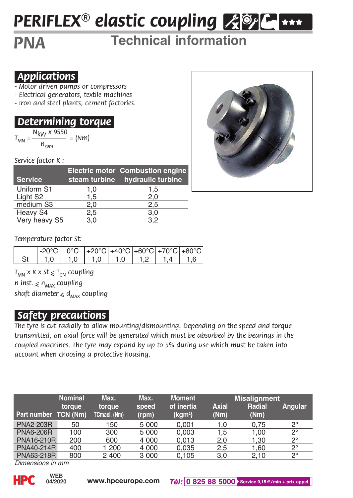# *PERIFLEX® elastic coupling*

## *PNA* **Technical information**

### *.Applications.*

- *Motor driven pumps or compressors*
- *Electrical generators, textile machines*
- *Iron and steel plants, cement factories.*

### *.Determining torque.*

 $T_{MN} = \frac{N_{KW} \times 9550}{n} = (Nm)$ 

*Service factor K :*

| <b>Service</b>       |     | Electric motor Combustion engine<br>steam turbine hydraulic turbine |
|----------------------|-----|---------------------------------------------------------------------|
| Uniform S1           | 1.0 | 1.5                                                                 |
| Light S <sub>2</sub> | 1,5 | 2,0                                                                 |
| medium S3            | 2.0 | 2.5                                                                 |
| Heavy S4             | 2,5 | 3,0                                                                 |
| Very heavy S5        | 3.0 | 3.2                                                                 |



*Temperature factor St:*

| $\left  \frac{-20^{\circ}C}{0^{\circ}C} \right $ $\left  \frac{+20^{\circ}C}{+40^{\circ}C} \right $ $\left  \frac{+60^{\circ}C}{+70^{\circ}C} \right $ $\left  \frac{+80^{\circ}C}{+80^{\circ}C} \right $ |  |  |  |
|-----------------------------------------------------------------------------------------------------------------------------------------------------------------------------------------------------------|--|--|--|
| St 1.0 1.0 1.0 1.0 1.0 1.2 1.4 1.6                                                                                                                                                                        |  |  |  |

*Tmn x K x St < Tcn coupling*

*n inst. < nmax coupling shaft diameter < dmax coupling*

### *.Safety precautions.*

*The tyre is cut radially to allow mounting/dismounting. Depending on the speed and torque transmitted, an axial force will be generated which must be absorbed by the bearings in the coupled machines. The tyre may expand by up to 5% during use which must be taken into account when choosing a protective housing.*

|                   | <b>Nominal</b>     | Max.                   | Max.           | <b>Moment</b>                     |                      | <b>Misalignment</b> |             |  |
|-------------------|--------------------|------------------------|----------------|-----------------------------------|----------------------|---------------------|-------------|--|
| Part number       | toraue<br>TCN (Nm) | torque<br>TCmaxi. (Nm) | speed<br>(rpm) | of inertia<br>(kgm <sup>2</sup> ) | <b>Axial</b><br>(Nm) | Radial<br>(Nm)      | Angular     |  |
|                   |                    |                        |                |                                   |                      |                     |             |  |
| <b>PNA2-203R</b>  | 50                 | 150                    | 5 0 0 0        | 0.001                             | 1.0                  | 0.75                | $2^{\circ}$ |  |
| PNA6-206R         | 100                | 300                    | 5 0 0 0        | 0.003                             | 1.5                  | 1.00                | $2^{\circ}$ |  |
| <b>PNA16-210R</b> | 200                | 600                    | 4 0 0 0        | 0.013                             | 2.0                  | 1.30                | $2^{\circ}$ |  |
| PNA40-214R        | 400                | 1 200                  | 4 0 0 0        | 0.035                             | 2.5                  | 1.60                | $2^{\circ}$ |  |
| PNA63-218R        | 800                | 2 400                  | 3 0 0 0        | 0.105                             | 3.0                  | 2.10                | $2^{\circ}$ |  |

*Dimensions in mm*

**04/2020**

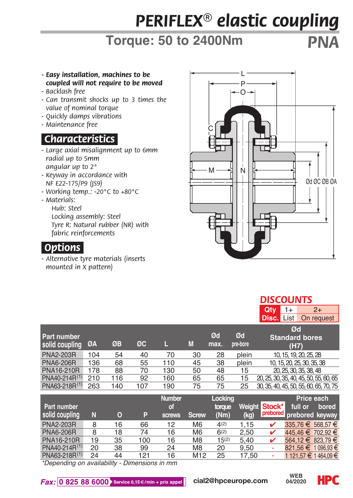## *PERIFLEX® elastic coupling*

## **Torque: 50 to 2400Nm** *PNA*

- *Easy installation, machines to be coupled will not require to be moved*
- *Backlash free*
- *Can transmit shocks up to 3 times the value of nominal torque*
- *Quickly damps vibrations*
- *Maintenance free*

## *.Characteristics.*

- *Large axial misalignment up to 6mm radial up to 5mm angular up to 2°*
- *Keyway in accordance with NF E22-175/P9 (JS9)*
- *Working temp.: -20°C to +80°C*
- *Materials: Hub: Steel Locking assembly: Steel Tyre R: Natural rubber (NR) with fabric reinforcements*

#### *.Options.*

*- Alternative tyre materials (inserts mounted in X pattern)*

| С      |             |
|--------|-------------|
| Ņ<br>M | 0d OC 0B 0A |
|        |             |
|        |             |

#### *DISCOUNTS*

| <b>Disc.</b> List<br>On request                                                                                   |  |
|-------------------------------------------------------------------------------------------------------------------|--|
| Ød                                                                                                                |  |
| Ød<br>Ød<br><b>Part number</b><br><b>Standard bores</b>                                                           |  |
| ØC<br>M<br>ØB<br>ØA<br>pre-bore<br>max.<br>solid coupling<br>(H7)                                                 |  |
| <b>PNA2-203R</b><br>plein<br>104<br>70<br>28<br>10, 15, 19, 20, 25, 28<br>54<br>40<br>30                          |  |
| <b>PNA6-206R</b><br>136<br>68<br>55<br>plein<br>10, 15, 20, 25, 30, 35, 38<br>38<br>110<br>45                     |  |
| <b>PNA16-210R</b><br>178<br>130<br>20, 25, 30, 35, 38, 48<br>88<br>70<br>50<br>48<br>15                           |  |
| PNA40-214R <sup>(1)</sup><br>210<br>92<br>160<br>65<br>65<br>20, 25, 30, 35, 40, 45, 50, 55, 60, 65<br>116<br>15  |  |
| PNA63-218R <sup>(1)</sup><br>263<br>75<br>30, 35, 40, 45, 50, 55, 60, 65, 70, 75<br>107<br>190<br>75<br>140<br>25 |  |

| Part number<br>solid coupling | N  | o  | P   | <b>Number</b><br>of<br><b>screws</b> | <b>Screw</b>   | Locking<br>torque<br>(Nm) | (kq)  | Weight Stock* | Price each<br>full or<br>prebored prebored keyway | bored |
|-------------------------------|----|----|-----|--------------------------------------|----------------|---------------------------|-------|---------------|---------------------------------------------------|-------|
| <b>PNA2-203R</b>              | 8  | 16 | 66  | 12                                   | M <sub>6</sub> | 4(2)                      | 1.15  | ✔             | 335.76 € 568.57 €                                 |       |
| <b>PNA6-206R</b>              | 8  | 18 | 74  | 16                                   | M <sub>6</sub> | 6(2)                      | 2.50  |               | 445.46 € 702.92 €                                 |       |
| PNA16-210R                    | 19 | 35 | 100 | 16                                   | M <sub>8</sub> | 15(2)                     | 5.40  |               | 564.12 € 823.79 €                                 |       |
| PNA40-214R <sup>(1)</sup>     | 20 | 38 | 99  | 24                                   | M <sub>8</sub> | 20                        | 9.50  |               | 821.56 € 1 096.93 €                               |       |
| PNA63-218R(1)                 | 24 | 44 | 121 | 16                                   | M12            | 25                        | 17.50 |               | 1 121.57 € 1 464.09 €                             |       |

*\*Depending on availability - Dimensions in mm*